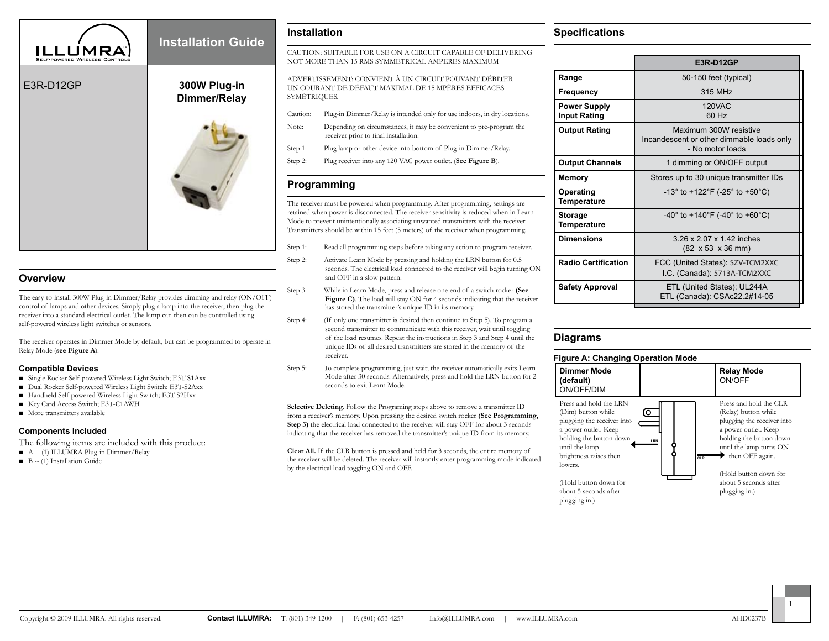

## **Overview**

The easy-to-install 300W Plug-in Dimmer/Relay provides dimming and relay (ON/OFF) control of lamps and other devices. Simply plug a lamp into the receiver, then plug the receiver into a standard electrical outlet. The lamp can then can be controlled using self-powered wireless light switches or sensors.

The receiver operates in Dimmer Mode by default, but can be programmed to operate in Relay Mode (**see Figure A**).

### **Compatible Devices**

- Single Rocker Self-powered Wireless Light Switch; E3T-S1Axx
- Dual Rocker Self-powered Wireless Light Switch; E3T-S2Axx
- Handheld Self-powered Wireless Light Switch; E3T-S2Hxx
- Key Card Access Switch; E3T-C1AWH
- More transmitters available

### **Components Included**

The following items are included with this product:

- A -- (1) ILLUMRA Plug-in Dimmer/Relay
- B -- (1) Installation Guide

## **Installation**

CAUTION: SUITABLE FOR USE ON A CIRCUIT CAPABLE OF DELIVERING NOT MORE THAN 15 RMS SYMMETRICAL AMPERES MAXIMUM

ADVERTISSEMENT: CONVIENT À UN CIRCUIT POUVANT DÉBITER UN COURANT DE DÉFAUT MAXIMAL DE 15 MPÈRES EFFICACES SYMÉTRIQUES.

- Caution: Plug-in Dimmer/Relay is intended only for use indoors, in dry locations.
- Note: Depending on circumstances, it may be convenient to pre-program the receiver prior to final installation.
- Step 1: Plug lamp or other device into bottom of Plug-in Dimmer/Relay.
- Step 2: Plug receiver into any 120 VAC power outlet. (**See Figure B**).

# **Programming**

The receiver must be powered when programming. After programming, settings are retained when power is disconnected. The receiver sensitivity is reduced when in Learn Mode to prevent unintentionally associating unwanted transmitters with the receiver. Transmitters should be within 15 feet (5 meters) of the receiver when programming.

- Step 1: Read all programming steps before taking any action to program receiver.
- Step 2: Activate Learn Mode by pressing and holding the LRN button for 0.5 seconds. The electrical load connected to the receiver will begin turning ON and OFF in a slow pattern.
- Step 3: While in Learn Mode, press and release one end of a switch rocker **(See**  Figure C). The load will stay ON for 4 seconds indicating that the receiver has stored the transmitter's unique ID in its memory.
- Step 4: (If only one transmitter is desired then continue to Step 5). To program a second transmitter to communicate with this receiver, wait until toggling of the load resumes. Repeat the instructions in Step 3 and Step 4 until the unique IDs of all desired transmitters are stored in the memory of the receiver.
- Step 5: To complete programming, just wait; the receiver automatically exits Learn Mode after 30 seconds. Alternatively, press and hold the LRN button for 2 seconds to exit Learn Mode.

**Selective Deleting.** Follow the Programing steps above to remove a transmitter ID from a receiver's memory. Upon pressing the desired switch rocker **(See Programming, Step 3)** the electrical load connected to the receiver will stay OFF for about 3 seconds indicating that the receiver has removed the transmitter's unique ID from its memory.

**Clear All.** If the CLR button is pressed and held for 3 seconds, the entire memory of the receiver will be deleted. The receiver will instantly enter programming mode indicated by the electrical load toggling ON and OFF.

### **Specifications**

|                                            | E3R-D12GP                                                                               |
|--------------------------------------------|-----------------------------------------------------------------------------------------|
| Range                                      | 50-150 feet (typical)                                                                   |
| Frequency                                  | 315 MHz                                                                                 |
| <b>Power Supply</b><br><b>Input Rating</b> | <b>120VAC</b><br>60 Hz                                                                  |
| <b>Output Rating</b>                       | Maximum 300W resistive<br>Incandescent or other dimmable loads only<br>- No motor loads |
| <b>Output Channels</b>                     | 1 dimming or ON/OFF output                                                              |
| Memory                                     | Stores up to 30 unique transmitter IDs                                                  |
| Operating<br>Temperature                   | $-13^{\circ}$ to $+122^{\circ}$ F ( $-25^{\circ}$ to $+50^{\circ}$ C)                   |
| <b>Storage</b><br>Temperature              | -40° to +140°F (-40° to +60°C)                                                          |
| <b>Dimensions</b>                          | 3.26 x 2.07 x 1.42 inches<br>$(82 \times 53 \times 36 \text{ mm})$                      |
| <b>Radio Certification</b>                 | FCC (United States): SZV-TCM2XXC<br>I.C. (Canada): 5713A-TCM2XXC                        |
| <b>Safety Approval</b>                     | ETL (United States): UL244A<br>ETL (Canada): CSAc22.2#14-05                             |
|                                            |                                                                                         |

# **Diagrams**

#### **Figure A: Changing Operation Mode**